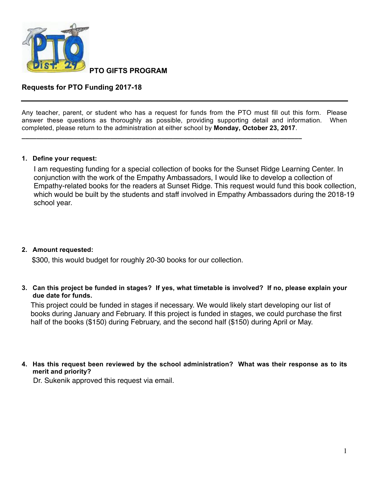

**PTO GIFTS PROGRAM** 

# **Requests for PTO Funding 2017-18**

Any teacher, parent, or student who has a request for funds from the PTO must fill out this form. Please answer these questions as thoroughly as possible, providing supporting detail and information. When completed, please return to the administration at either school by **Monday, October 23, 2017**.

**\_\_\_\_\_\_\_\_\_\_\_\_\_\_\_\_\_\_\_\_\_\_\_\_\_\_\_\_\_\_\_\_\_\_\_\_\_\_\_\_\_\_\_\_\_\_\_\_\_\_\_\_\_\_\_\_\_\_\_\_\_\_\_\_\_\_\_\_\_\_\_\_\_\_\_\_**

### **1. Define your request:**

I am requesting funding for a special collection of books for the Sunset Ridge Learning Center. In conjunction with the work of the Empathy Ambassadors, I would like to develop a collection of Empathy-related books for the readers at Sunset Ridge. This request would fund this book collection, which would be built by the students and staff involved in Empathy Ambassadors during the 2018-19 school year.

### **2.** Amount requested:

\$300, this would budget for roughly 20-30 books for our collection.

3. Can this project be funded in stages? If yes, what timetable is involved? If no, please explain your due date for funds.

This project could be funded in stages if necessary. We would likely start developing our list of books during January and February. If this project is funded in stages, we could purchase the first half of the books (\$150) during February, and the second half (\$150) during April or May.

4. Has this request been reviewed by the school administration? What was their response as to its merit and priority?

Dr. Sukenik approved this request via email.